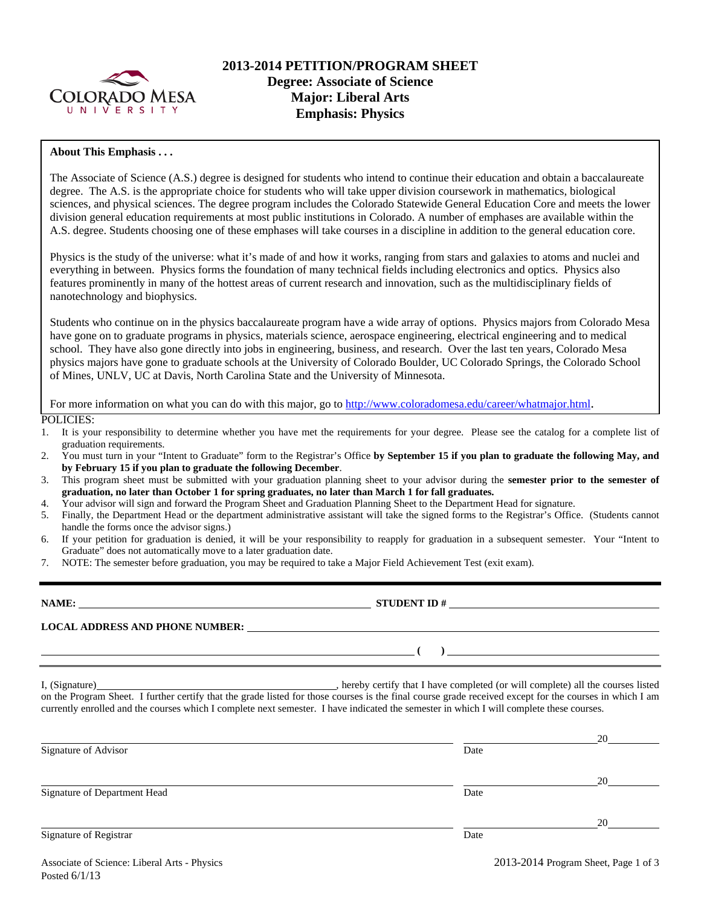

## **2013-2014 PETITION/PROGRAM SHEET Degree: Associate of Science Major: Liberal Arts Emphasis: Physics**

#### **About This Emphasis . . .**

The Associate of Science (A.S.) degree is designed for students who intend to continue their education and obtain a baccalaureate degree. The A.S. is the appropriate choice for students who will take upper division coursework in mathematics, biological sciences, and physical sciences. The degree program includes the Colorado Statewide General Education Core and meets the lower division general education requirements at most public institutions in Colorado. A number of emphases are available within the A.S. degree. Students choosing one of these emphases will take courses in a discipline in addition to the general education core.

Physics is the study of the universe: what it's made of and how it works, ranging from stars and galaxies to atoms and nuclei and everything in between. Physics forms the foundation of many technical fields including electronics and optics. Physics also features prominently in many of the hottest areas of current research and innovation, such as the multidisciplinary fields of nanotechnology and biophysics.

Students who continue on in the physics baccalaureate program have a wide array of options. Physics majors from Colorado Mesa have gone on to graduate programs in physics, materials science, aerospace engineering, electrical engineering and to medical school. They have also gone directly into jobs in engineering, business, and research. Over the last ten years, Colorado Mesa physics majors have gone to graduate schools at the University of Colorado Boulder, UC Colorado Springs, the Colorado School of Mines, UNLV, UC at Davis, North Carolina State and the University of Minnesota.

For more information on what you can do with this major, go to http://www.coloradomesa.edu/career/whatmajor.html.

POLICIES:

- 1. It is your responsibility to determine whether you have met the requirements for your degree. Please see the catalog for a complete list of graduation requirements.
- 2. You must turn in your "Intent to Graduate" form to the Registrar's Office **by September 15 if you plan to graduate the following May, and by February 15 if you plan to graduate the following December**.
- 3. This program sheet must be submitted with your graduation planning sheet to your advisor during the **semester prior to the semester of graduation, no later than October 1 for spring graduates, no later than March 1 for fall graduates.**
- 4. Your advisor will sign and forward the Program Sheet and Graduation Planning Sheet to the Department Head for signature.
- 5. Finally, the Department Head or the department administrative assistant will take the signed forms to the Registrar's Office. (Students cannot handle the forms once the advisor signs.)
- 6. If your petition for graduation is denied, it will be your responsibility to reapply for graduation in a subsequent semester. Your "Intent to Graduate" does not automatically move to a later graduation date.
- 7. NOTE: The semester before graduation, you may be required to take a Major Field Achievement Test (exit exam).

| NAME:                                  | <b>STUDENT ID#</b> |
|----------------------------------------|--------------------|
| <b>LOCAL ADDRESS AND PHONE NUMBER:</b> |                    |
|                                        |                    |

I, (Signature) , hereby certify that I have completed (or will complete) all the courses listed on the Program Sheet. I further certify that the grade listed for those courses is the final course grade received except for the courses in which I am currently enrolled and the courses which I complete next semester. I have indicated the semester in which I will complete these courses.

|                              |      | 20 |
|------------------------------|------|----|
| Signature of Advisor         | Date |    |
|                              |      | 20 |
| Signature of Department Head | Date |    |
|                              |      | 20 |
| Signature of Registrar       | Date |    |
|                              |      |    |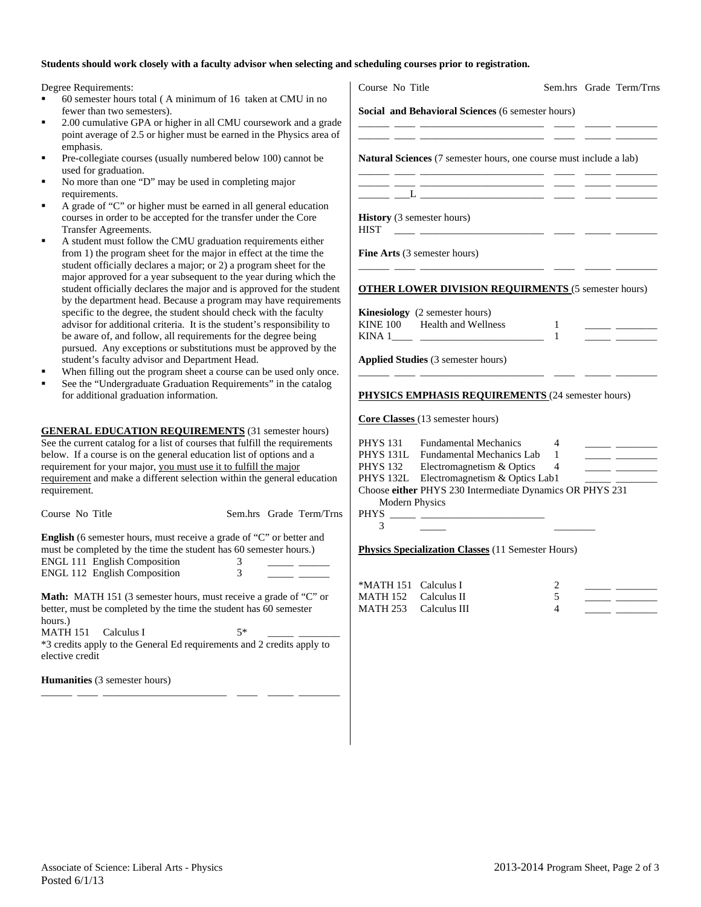#### **Students should work closely with a faculty advisor when selecting and scheduling courses prior to registration.**

Degree Requirements:

- 60 semester hours total ( A minimum of 16 taken at CMU in no fewer than two semesters).
- 2.00 cumulative GPA or higher in all CMU coursework and a grade point average of 2.5 or higher must be earned in the Physics area emphasis.
- Pre-collegiate courses (usually numbered below 100) cannot be used for graduation.
- No more than one "D" may be used in completing major requirements.
- A grade of "C" or higher must be earned in all general education courses in order to be accepted for the transfer under the Core Transfer Agreements.
- A student must follow the CMU graduation requirements either from 1) the program sheet for the major in effect at the time the student officially declares a major; or 2) a program sheet for the major approved for a year subsequent to the year during which th student officially declares the major and is approved for the stud by the department head. Because a program may have requireme specific to the degree, the student should check with the faculty advisor for additional criteria. It is the student's responsibility to be aware of, and follow, all requirements for the degree being pursued. Any exceptions or substitutions must be approved by the student's faculty advisor and Department Head.
- When filling out the program sheet a course can be used only on
- See the "Undergraduate Graduation Requirements" in the catalog for additional graduation information.

**GENERAL EDUCATION REQUIREMENTS** (31 semester hours) See the current catalog for a list of courses that fulfill the requirement below. If a course is on the general education list of options and a requirement for your major, you must use it to fulfill the major requirement and make a different selection within the general education requirement.

| Course No Title                                                                                                                                         |    | Sem.hrs Grade Term/Trns |
|---------------------------------------------------------------------------------------------------------------------------------------------------------|----|-------------------------|
| <b>English</b> (6 semester hours, must receive a grade of "C" or better and<br>must be completed by the time the student has 60 semester hours.)        |    |                         |
|                                                                                                                                                         |    |                         |
| <b>ENGL 111 English Composition</b>                                                                                                                     | 3  |                         |
| <b>ENGL 112 English Composition</b>                                                                                                                     | 3  |                         |
| <b>Math:</b> MATH 151 (3 semester hours, must receive a grade of "C" or<br>better, must be completed by the time the student has 60 semester<br>hours.) |    |                         |
| MATH 151 Calculus I                                                                                                                                     | 5* |                         |
| *3 credits apply to the General Ed requirements and 2 credits apply to<br>elective credit                                                               |    |                         |
| <b>Humanities</b> (3 semester hours)                                                                                                                    |    |                         |

\_\_\_\_\_\_ \_\_\_\_ \_\_\_\_\_\_\_\_\_\_\_\_\_\_\_\_\_\_\_\_\_\_\_\_ \_\_\_\_ \_\_\_\_\_ \_\_\_\_\_\_\_\_

|                     | Course No Title                                                                                                                                                                                                           | Sem.hrs Grade Term/Trns |                                                                |
|---------------------|---------------------------------------------------------------------------------------------------------------------------------------------------------------------------------------------------------------------------|-------------------------|----------------------------------------------------------------|
|                     | Social and Behavioral Sciences (6 semester hours)                                                                                                                                                                         |                         |                                                                |
|                     | Natural Sciences (7 semester hours, one course must include a lab)                                                                                                                                                        |                         |                                                                |
|                     |                                                                                                                                                                                                                           |                         |                                                                |
| <b>HIST</b>         | History (3 semester hours)                                                                                                                                                                                                |                         |                                                                |
|                     | <b>Fine Arts</b> (3 semester hours)                                                                                                                                                                                       |                         |                                                                |
|                     | <b>OTHER LOWER DIVISION REQUIRMENTS (5 semester hours)</b>                                                                                                                                                                |                         |                                                                |
|                     | <b>Kinesiology</b> (2 semester hours)<br>KINE 100 Health and Wellness<br>KINA $1 \_$ $\_$                                                                                                                                 | 1                       | <u> Albanya (Albanya Albanya)</u><br><u> Albanya (Albanya)</u> |
|                     | <b>Applied Studies</b> (3 semester hours)                                                                                                                                                                                 |                         |                                                                |
|                     |                                                                                                                                                                                                                           |                         |                                                                |
|                     | PHYSICS EMPHASIS REQUIREMENTS (24 semester hours)                                                                                                                                                                         |                         |                                                                |
|                     | Core Classes (13 semester hours)                                                                                                                                                                                          |                         |                                                                |
|                     | PHYS 131 Fundamental Mechanics 4<br>PHYS 131L Fundamental Mechanics Lab 1<br>PHYS 132 Electromagnetism & Optics 4<br>PHYS 132L Electromagnetism & Optics Lab1<br>Choose either PHYS 230 Intermediate Dynamics OR PHYS 231 |                         | <u> Albanya (Albanya)</u><br>$\frac{1}{2}$                     |
| Modern Physics<br>3 |                                                                                                                                                                                                                           |                         |                                                                |
|                     | <b>Physics Specialization Classes</b> (11 Semester Hours)                                                                                                                                                                 |                         |                                                                |